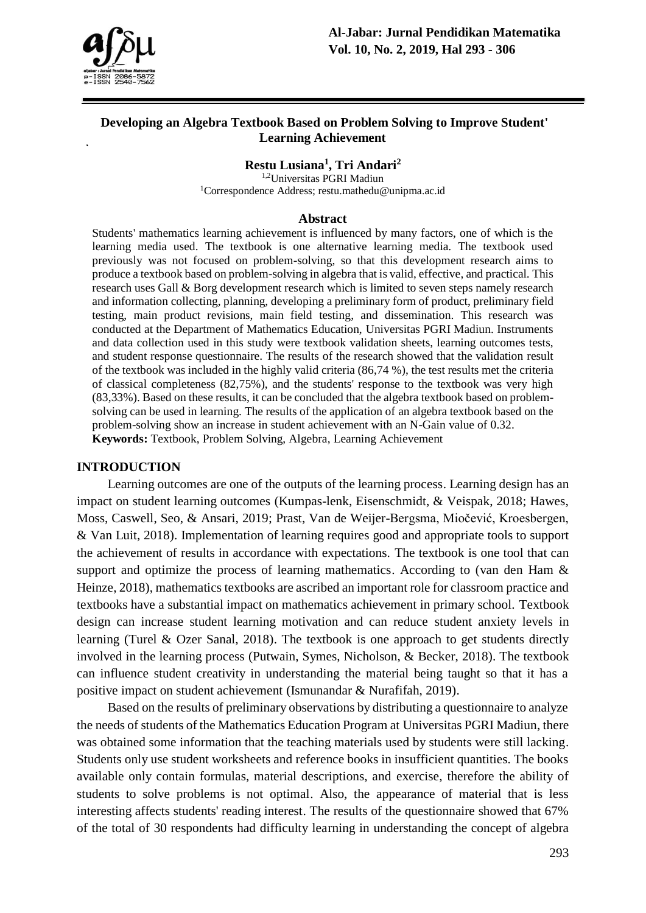

### **Developing an Algebra Textbook Based on Problem Solving to Improve Student' Learning Achievement**

**Restu Lusiana<sup>1</sup> , Tri Andari<sup>2</sup>**

1,2Universitas PGRI Madiun <sup>1</sup>Correspondence Address; restu.mathedu@unipma.ac.id

#### **Abstract**

Students' mathematics learning achievement is influenced by many factors, one of which is the learning media used. The textbook is one alternative learning media. The textbook used previously was not focused on problem-solving, so that this development research aims to produce a textbook based on problem-solving in algebra that is valid, effective, and practical. This research uses Gall & Borg development research which is limited to seven steps namely research and information collecting, planning, developing a preliminary form of product, preliminary field testing, main product revisions, main field testing, and dissemination. This research was conducted at the Department of Mathematics Education, Universitas PGRI Madiun. Instruments and data collection used in this study were textbook validation sheets, learning outcomes tests, and student response questionnaire. The results of the research showed that the validation result of the textbook was included in the highly valid criteria (86,74 %), the test results met the criteria of classical completeness (82,75%), and the students' response to the textbook was very high (83,33%). Based on these results, it can be concluded that the algebra textbook based on problemsolving can be used in learning. The results of the application of an algebra textbook based on the problem-solving show an increase in student achievement with an N-Gain value of 0.32. **Keywords:** Textbook, Problem Solving, Algebra, Learning Achievement

#### **INTRODUCTION**

Learning outcomes are one of the outputs of the learning process. Learning design has an impact on student learning outcomes (Kumpas-lenk, Eisenschmidt, & Veispak, 2018; Hawes, Moss, Caswell, Seo, & Ansari, 2019; Prast, Van de Weijer-Bergsma, Miočević, Kroesbergen, & Van Luit, 2018). Implementation of learning requires good and appropriate tools to support the achievement of results in accordance with expectations. The textbook is one tool that can support and optimize the process of learning mathematics. According to (van den Ham & Heinze, 2018), mathematics textbooks are ascribed an important role for classroom practice and textbooks have a substantial impact on mathematics achievement in primary school. Textbook design can increase student learning motivation and can reduce student anxiety levels in learning (Turel & Ozer Sanal, 2018). The textbook is one approach to get students directly involved in the learning process (Putwain, Symes, Nicholson, & Becker, 2018). The textbook can influence student creativity in understanding the material being taught so that it has a positive impact on student achievement (Ismunandar & Nurafifah, 2019).

Based on the results of preliminary observations by distributing a questionnaire to analyze the needs of students of the Mathematics Education Program at Universitas PGRI Madiun, there was obtained some information that the teaching materials used by students were still lacking. Students only use student worksheets and reference books in insufficient quantities. The books available only contain formulas, material descriptions, and exercise, therefore the ability of students to solve problems is not optimal. Also, the appearance of material that is less interesting affects students' reading interest. The results of the questionnaire showed that 67% of the total of 30 respondents had difficulty learning in understanding the concept of algebra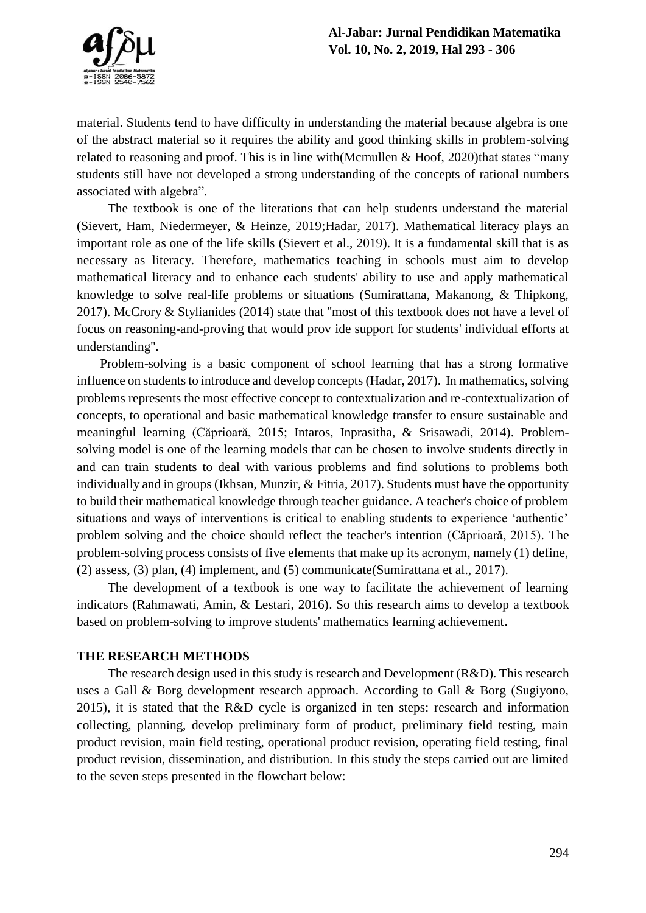

material. Students tend to have difficulty in understanding the material because algebra is one of the abstract material so it requires the ability and good thinking skills in problem-solving related to reasoning and proof. This is in line with (Mcmullen & Hoof, 2020)that states "many students still have not developed a strong understanding of the concepts of rational numbers associated with algebra".

The textbook is one of the literations that can help students understand the material (Sievert, Ham, Niedermeyer, & Heinze, 2019;Hadar, 2017). Mathematical literacy plays an important role as one of the life skills (Sievert et al., 2019). It is a fundamental skill that is as necessary as literacy. Therefore, mathematics teaching in schools must aim to develop mathematical literacy and to enhance each students' ability to use and apply mathematical knowledge to solve real-life problems or situations (Sumirattana, Makanong, & Thipkong, 2017). McCrory & Stylianides (2014) state that "most of this textbook does not have a level of focus on reasoning-and-proving that would prov ide support for students' individual efforts at understanding".

Problem-solving is a basic component of school learning that has a strong formative influence on students to introduce and develop concepts (Hadar, 2017). In mathematics, solving problems represents the most effective concept to contextualization and re-contextualization of concepts, to operational and basic mathematical knowledge transfer to ensure sustainable and meaningful learning (Căprioară, 2015; Intaros, Inprasitha, & Srisawadi, 2014). Problemsolving model is one of the learning models that can be chosen to involve students directly in and can train students to deal with various problems and find solutions to problems both individually and in groups (Ikhsan, Munzir, & Fitria, 2017). Students must have the opportunity to build their mathematical knowledge through teacher guidance. A teacher's choice of problem situations and ways of interventions is critical to enabling students to experience 'authentic' problem solving and the choice should reflect the teacher's intention (Căprioară, 2015). The problem-solving process consists of five elements that make up its acronym, namely (1) define, (2) assess, (3) plan, (4) implement, and (5) communicate(Sumirattana et al., 2017).

The development of a textbook is one way to facilitate the achievement of learning indicators (Rahmawati, Amin, & Lestari, 2016). So this research aims to develop a textbook based on problem-solving to improve students' mathematics learning achievement.

#### **THE RESEARCH METHODS**

The research design used in this study is research and Development (R&D). This research uses a Gall & Borg development research approach. According to Gall & Borg (Sugiyono, 2015), it is stated that the R&D cycle is organized in ten steps: research and information collecting, planning, develop preliminary form of product, preliminary field testing, main product revision, main field testing, operational product revision, operating field testing, final product revision, dissemination, and distribution. In this study the steps carried out are limited to the seven steps presented in the flowchart below: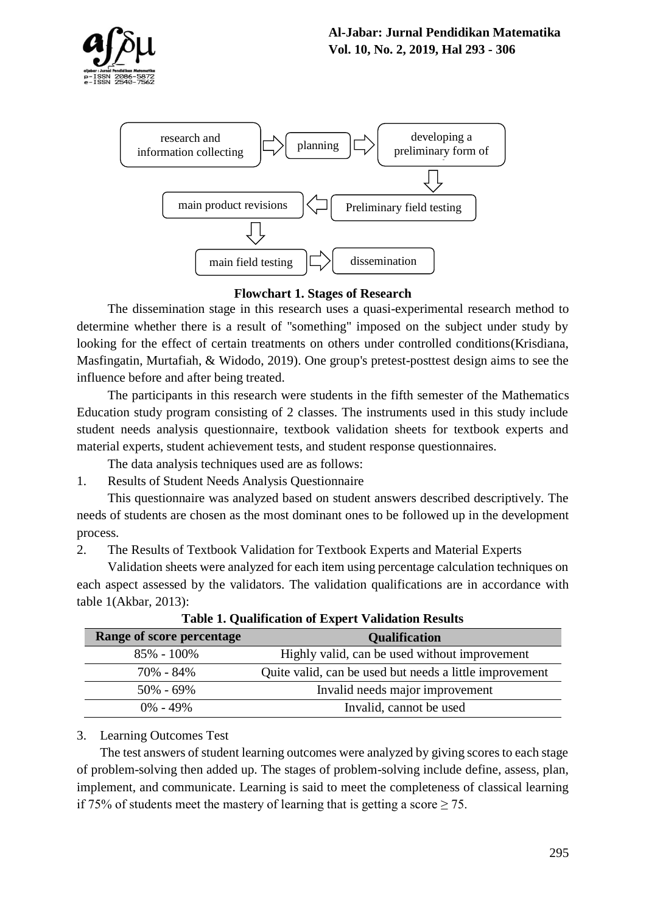



**Flowchart 1. Stages of Research**

The dissemination stage in this research uses a quasi-experimental research method to determine whether there is a result of "something" imposed on the subject under study by looking for the effect of certain treatments on others under controlled conditions(Krisdiana, Masfingatin, Murtafiah, & Widodo, 2019). One group's pretest-posttest design aims to see the influence before and after being treated.

The participants in this research were students in the fifth semester of the Mathematics Education study program consisting of 2 classes. The instruments used in this study include student needs analysis questionnaire, textbook validation sheets for textbook experts and material experts, student achievement tests, and student response questionnaires.

The data analysis techniques used are as follows:

1. Results of Student Needs Analysis Questionnaire

This questionnaire was analyzed based on student answers described descriptively. The needs of students are chosen as the most dominant ones to be followed up in the development process.

2. The Results of Textbook Validation for Textbook Experts and Material Experts

Validation sheets were analyzed for each item using percentage calculation techniques on each aspect assessed by the validators. The validation qualifications are in accordance with table 1(Akbar, 2013):

| <b>Range of score percentage</b> | <b>Qualification</b>                                    |
|----------------------------------|---------------------------------------------------------|
| $85\% - 100\%$                   | Highly valid, can be used without improvement           |
| 70% - 84%                        | Quite valid, can be used but needs a little improvement |
| $50\% - 69\%$                    | Invalid needs major improvement                         |
| $0\% - 49\%$                     | Invalid, cannot be used                                 |

**Table 1. Qualification of Expert Validation Results**

### 3. Learning Outcomes Test

The test answers of student learning outcomes were analyzed by giving scores to each stage of problem-solving then added up. The stages of problem-solving include define, assess, plan, implement, and communicate. Learning is said to meet the completeness of classical learning if 75% of students meet the mastery of learning that is getting a score  $\geq$  75.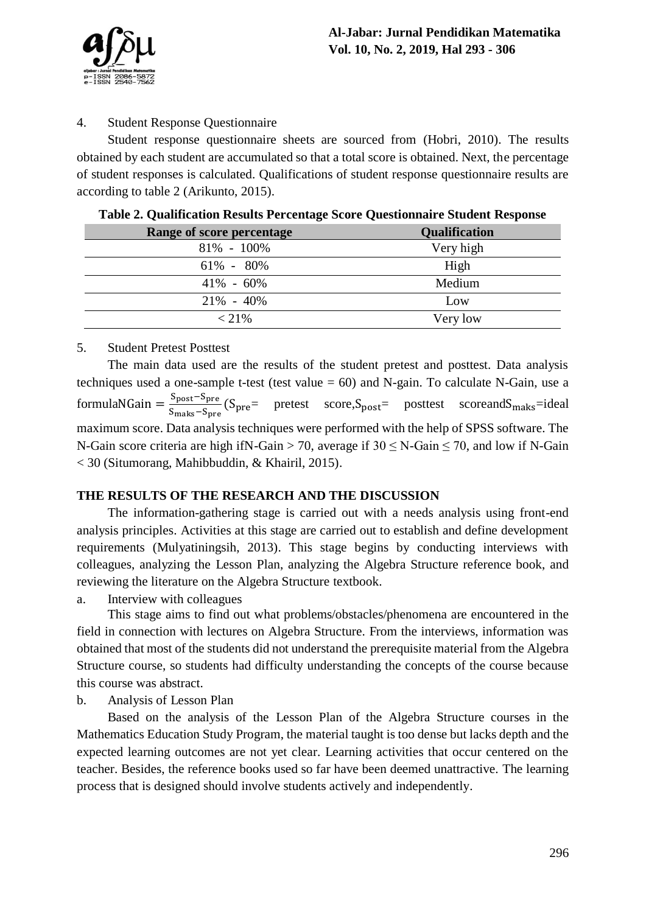

## 4. Student Response Questionnaire

Student response questionnaire sheets are sourced from (Hobri, 2010). The results obtained by each student are accumulated so that a total score is obtained. Next, the percentage of student responses is calculated. Qualifications of student response questionnaire results are according to table 2 (Arikunto, 2015).

| <b>Range of score percentage</b> | <b>Qualification</b> |
|----------------------------------|----------------------|
| $81\% - 100\%$                   | Very high            |
| $61\% - 80\%$                    | High                 |
| $41\% - 60\%$                    | Medium               |
| $21\% - 40\%$                    | Low                  |
| $< 21\%$                         | Very low             |

**Table 2. Qualification Results Percentage Score Questionnaire Student Response**

#### 5. Student Pretest Posttest

The main data used are the results of the student pretest and posttest. Data analysis techniques used a one-sample t-test (test value = 60) and N-gain. To calculate N-Gain, use a formulaNGain =  $\frac{S_{\text{post}}-S_{\text{pre}}}{S}$  $\frac{S_{\text{post}}}{S_{\text{maks}}-S_{\text{pre}}}$  (S<sub>pre</sub>= pretest score, S<sub>post</sub>= posttest scoreand S<sub>maks</sub>=ideal maximum score. Data analysis techniques were performed with the help of SPSS software. The N-Gain score criteria are high if N-Gain > 70, average if  $30 \leq N$ -Gain  $\leq 70$ , and low if N-Gain < 30 (Situmorang, Mahibbuddin, & Khairil, 2015).

# **THE RESULTS OF THE RESEARCH AND THE DISCUSSION**

The information-gathering stage is carried out with a needs analysis using front-end analysis principles. Activities at this stage are carried out to establish and define development requirements (Mulyatiningsih, 2013). This stage begins by conducting interviews with colleagues, analyzing the Lesson Plan, analyzing the Algebra Structure reference book, and reviewing the literature on the Algebra Structure textbook.

a. Interview with colleagues

This stage aims to find out what problems/obstacles/phenomena are encountered in the field in connection with lectures on Algebra Structure. From the interviews, information was obtained that most of the students did not understand the prerequisite material from the Algebra Structure course, so students had difficulty understanding the concepts of the course because this course was abstract.

b. Analysis of Lesson Plan

Based on the analysis of the Lesson Plan of the Algebra Structure courses in the Mathematics Education Study Program, the material taught is too dense but lacks depth and the expected learning outcomes are not yet clear. Learning activities that occur centered on the teacher. Besides, the reference books used so far have been deemed unattractive. The learning process that is designed should involve students actively and independently.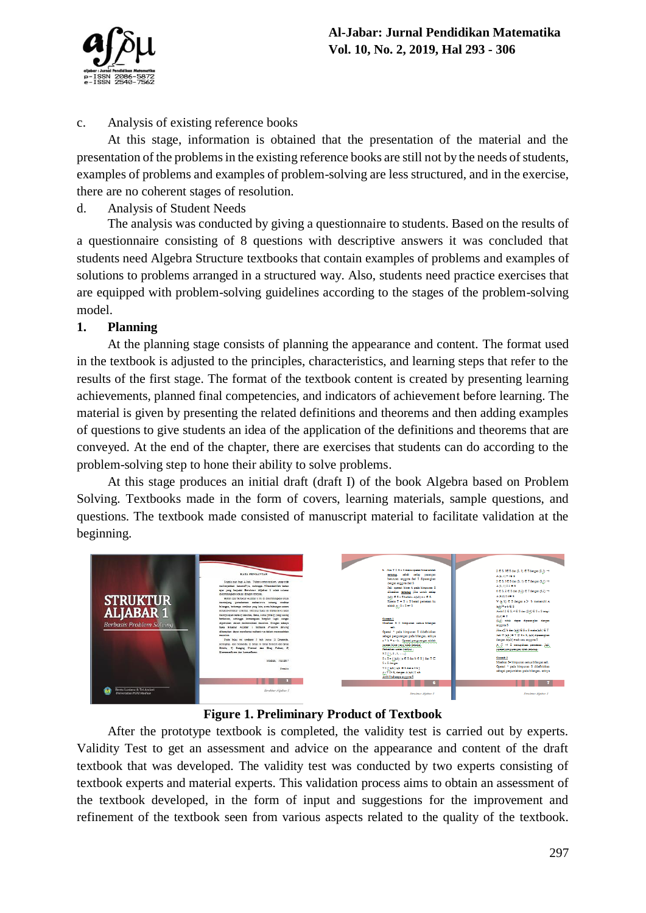

## c. Analysis of existing reference books

At this stage, information is obtained that the presentation of the material and the presentation of the problems in the existing reference books are still not by the needs of students, examples of problems and examples of problem-solving are less structured, and in the exercise, there are no coherent stages of resolution.

## d. Analysis of Student Needs

The analysis was conducted by giving a questionnaire to students. Based on the results of a questionnaire consisting of 8 questions with descriptive answers it was concluded that students need Algebra Structure textbooks that contain examples of problems and examples of solutions to problems arranged in a structured way. Also, students need practice exercises that are equipped with problem-solving guidelines according to the stages of the problem-solving model.

## **1. Planning**

At the planning stage consists of planning the appearance and content. The format used in the textbook is adjusted to the principles, characteristics, and learning steps that refer to the results of the first stage. The format of the textbook content is created by presenting learning achievements, planned final competencies, and indicators of achievement before learning. The material is given by presenting the related definitions and theorems and then adding examples of questions to give students an idea of the application of the definitions and theorems that are conveyed. At the end of the chapter, there are exercises that students can do according to the problem-solving step to hone their ability to solve problems.

At this stage produces an initial draft (draft I) of the book Algebra based on Problem Solving. Textbooks made in the form of covers, learning materials, sample questions, and questions. The textbook made consisted of manuscript material to facilitate validation at the beginning.



# **Figure 1. Preliminary Product of Textbook**

After the prototype textbook is completed, the validity test is carried out by experts. Validity Test to get an assessment and advice on the appearance and content of the draft textbook that was developed. The validity test was conducted by two experts consisting of textbook experts and material experts. This validation process aims to obtain an assessment of the textbook developed, in the form of input and suggestions for the improvement and refinement of the textbook seen from various aspects related to the quality of the textbook.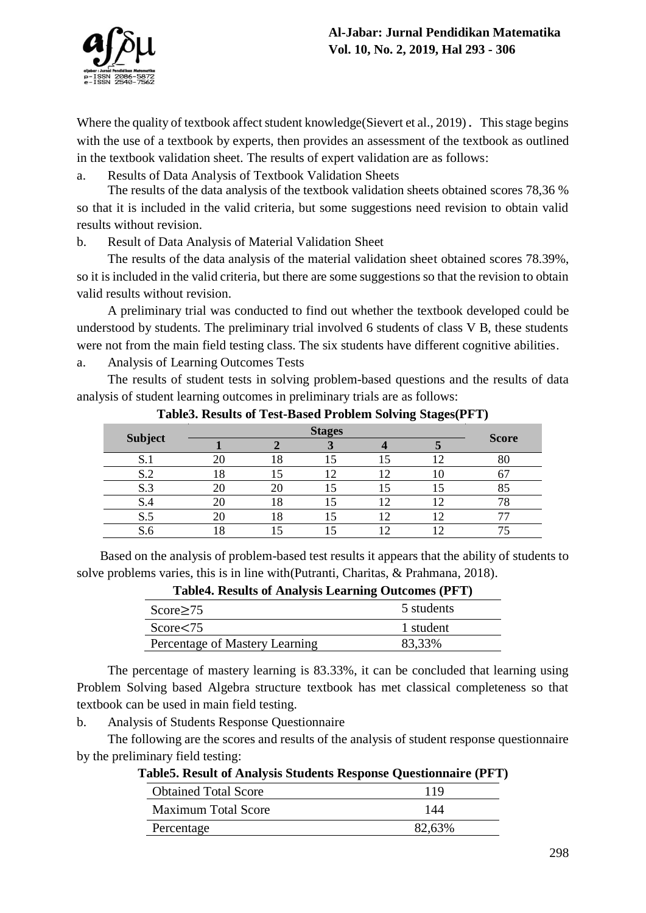

Where the quality of textbook affect student knowledge(Sievert et al., 2019). This stage begins with the use of a textbook by experts, then provides an assessment of the textbook as outlined in the textbook validation sheet. The results of expert validation are as follows:

a. Results of Data Analysis of Textbook Validation Sheets

The results of the data analysis of the textbook validation sheets obtained scores 78,36 % so that it is included in the valid criteria, but some suggestions need revision to obtain valid results without revision.

b. Result of Data Analysis of Material Validation Sheet

The results of the data analysis of the material validation sheet obtained scores 78.39%, so it is included in the valid criteria, but there are some suggestions so that the revision to obtain valid results without revision.

A preliminary trial was conducted to find out whether the textbook developed could be understood by students. The preliminary trial involved 6 students of class V B, these students were not from the main field testing class. The six students have different cognitive abilities.

a. Analysis of Learning Outcomes Tests

The results of student tests in solving problem-based questions and the results of data analysis of student learning outcomes in preliminary trials are as follows:

|                | <b>Stages</b> |     |  |  |  |              |
|----------------|---------------|-----|--|--|--|--------------|
| <b>Subject</b> |               |     |  |  |  | <b>Score</b> |
| .JJ            |               | 18  |  |  |  |              |
| S.2            |               |     |  |  |  |              |
| S.3            |               |     |  |  |  | o.           |
| 5.4            |               | l 8 |  |  |  |              |
| S.5            |               | ⊥ծ  |  |  |  |              |
|                |               |     |  |  |  |              |

**Table3. Results of Test-Based Problem Solving Stages(PFT)**

Based on the analysis of problem-based test results it appears that the ability of students to solve problems varies, this is in line with(Putranti, Charitas, & Prahmana, 2018).

| 5 students |
|------------|
| 1 student  |
| 83,33%     |
|            |

**Table4. Results of Analysis Learning Outcomes (PFT)**

The percentage of mastery learning is 83.33%, it can be concluded that learning using Problem Solving based Algebra structure textbook has met classical completeness so that textbook can be used in main field testing.

b. Analysis of Students Response Questionnaire

The following are the scores and results of the analysis of student response questionnaire by the preliminary field testing:

| l'adies. Resuit di Analysis Students Response Questionnaire (PFT |        |
|------------------------------------------------------------------|--------|
| <b>Obtained Total Score</b>                                      | 119    |
| <b>Maximum Total Score</b>                                       | 144    |
| Percentage                                                       | 82,63% |

| Table5. Result of Analysis Students Response Questionnaire (PFT)        |  |
|-------------------------------------------------------------------------|--|
| $\Omega_{\text{total}}$ $\Gamma_{\text{total}}$ $\Omega_{\text{total}}$ |  |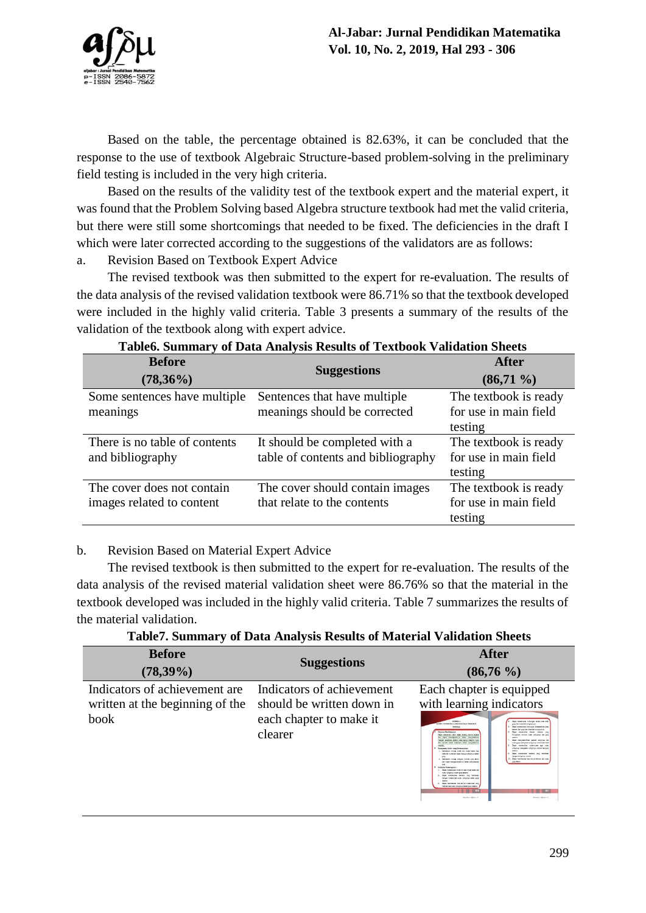

Based on the table, the percentage obtained is 82.63%, it can be concluded that the response to the use of textbook Algebraic Structure-based problem-solving in the preliminary field testing is included in the very high criteria.

Based on the results of the validity test of the textbook expert and the material expert, it was found that the Problem Solving based Algebra structure textbook had met the valid criteria, but there were still some shortcomings that needed to be fixed. The deficiencies in the draft I which were later corrected according to the suggestions of the validators are as follows:

a. Revision Based on Textbook Expert Advice

The revised textbook was then submitted to the expert for re-evaluation. The results of the data analysis of the revised validation textbook were 86.71% so that the textbook developed were included in the highly valid criteria. Table 3 presents a summary of the results of the validation of the textbook along with expert advice.

| <b>Before</b><br>$(78,36\%)$                            | <b>Suggestions</b>                                                  | <b>After</b><br>$(86,71\%)$                               |
|---------------------------------------------------------|---------------------------------------------------------------------|-----------------------------------------------------------|
| Some sentences have multiple<br>meanings                | Sentences that have multiple<br>meanings should be corrected        | The textbook is ready<br>for use in main field<br>testing |
| There is no table of contents<br>and bibliography       | It should be completed with a<br>table of contents and bibliography | The textbook is ready<br>for use in main field<br>testing |
| The cover does not contain<br>images related to content | The cover should contain images<br>that relate to the contents      | The textbook is ready<br>for use in main field<br>testing |

### **Table6. Summary of Data Analysis Results of Textbook Validation Sheets**

b. Revision Based on Material Expert Advice

The revised textbook is then submitted to the expert for re-evaluation. The results of the data analysis of the revised material validation sheet were 86.76% so that the material in the textbook developed was included in the highly valid criteria. Table 7 summarizes the results of the material validation.

**Table7. Summary of Data Analysis Results of Material Validation Sheets**

| $\overline{ }$                                                                  | .,                                                                                           |                                                                                                                                                                                                                                                                                                                                                                                                                                                                                                                                                                                                                                                                                                                                                                                                                                                                                                                                                                                                                                                                                                                                                                                                                                                                                                                                                                                                                                                                                                |
|---------------------------------------------------------------------------------|----------------------------------------------------------------------------------------------|------------------------------------------------------------------------------------------------------------------------------------------------------------------------------------------------------------------------------------------------------------------------------------------------------------------------------------------------------------------------------------------------------------------------------------------------------------------------------------------------------------------------------------------------------------------------------------------------------------------------------------------------------------------------------------------------------------------------------------------------------------------------------------------------------------------------------------------------------------------------------------------------------------------------------------------------------------------------------------------------------------------------------------------------------------------------------------------------------------------------------------------------------------------------------------------------------------------------------------------------------------------------------------------------------------------------------------------------------------------------------------------------------------------------------------------------------------------------------------------------|
| <b>Before</b><br>$(78,39\%)$                                                    | <b>Suggestions</b>                                                                           | <b>After</b><br>$(86,76\%)$                                                                                                                                                                                                                                                                                                                                                                                                                                                                                                                                                                                                                                                                                                                                                                                                                                                                                                                                                                                                                                                                                                                                                                                                                                                                                                                                                                                                                                                                    |
| Indicators of achievement are<br>written at the beginning of the<br><b>book</b> | Indicators of achievement<br>should be written down in<br>each chapter to make it<br>clearer | Each chapter is equipped<br>with learning indicators<br><b>NORSK 4</b><br>Days meanwhen behavior when refer some<br>KOSEY TEORETA LAGRANDE BAY SIBORIE<br>your day online day subsequence.<br><b>NO EM AD</b><br>Dear meanwher buburger enterprise man-<br>siones del gog des voleritei subgrupore<br><b>Capaire Penteiniaren</b><br>Dan newsles electric velocity that<br>Data: manufacti, McD. Adam serges anchor shirtan<br>inspine notes can subpour fet pay<br>date instantingent dates manufacture<br>Days margizenting spiral subprup des<br>coals) colones ajons cars manys haping ingo<br>banda more manuale datas mercanakan<br>note the meaning adverse consists tide<br>Date meaning classroom are runt<br>subgroup mesquines subgroup somed dat grup<br><b>Newprove this cars Systematics</b><br>Thompson houses house his, house haras, day<br>Days meanwhen means yarg between<br>elleville kove der dage menspyrasserve daten<br>decay adverse same<br>me<br>Shindayi kenya jukana nemai yan diner<br>Days maintains benefits a deter fail sure<br>der dans merggundienste dalen pertekanism<br><b>AND MOVE</b><br>Indians Kaumpins<br>Dave warenodes hour bot are boundaries out<br>russ migray dates pay search<br>Days measures severa two believes<br>despe isseripe can subpose does pay<br>-<br>Darw mannering baccalous imminist cars<br>kalkais dari nuau sukgenyi dalam grup tahantu.<br><b>THERE</b><br><b>THE REAL</b><br><b>Emine Apher I</b><br>Emilder Alphor I. |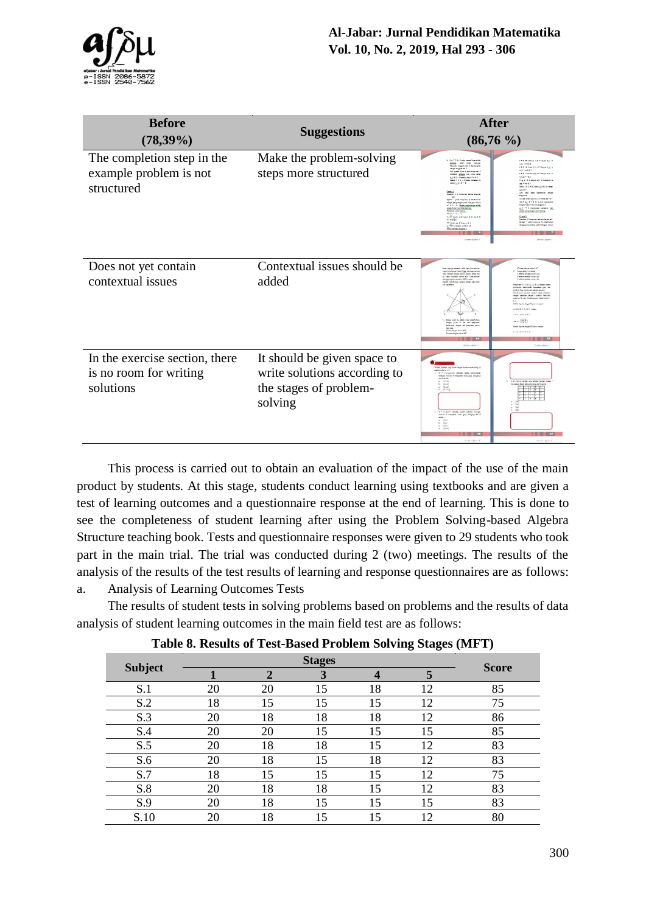

| <b>Before</b>                                                         | <b>Suggestions</b>                                                                               | <b>After</b>                                                                                                                                                                                                                                                                                                                                                                                                                                                                                                                                                                                                                                                                                                                                                                                                                                                                                                                                                                                                                                                                                                                                                                                                                                                                                                                                                                                                                                                                                                                                                                                                                                                                                                                                                                                                                                                                                                                                                                                                                                                                                                                                                                                                                                                                                                                                                                                                                                                                                                                                                                               |  |  |  |
|-----------------------------------------------------------------------|--------------------------------------------------------------------------------------------------|--------------------------------------------------------------------------------------------------------------------------------------------------------------------------------------------------------------------------------------------------------------------------------------------------------------------------------------------------------------------------------------------------------------------------------------------------------------------------------------------------------------------------------------------------------------------------------------------------------------------------------------------------------------------------------------------------------------------------------------------------------------------------------------------------------------------------------------------------------------------------------------------------------------------------------------------------------------------------------------------------------------------------------------------------------------------------------------------------------------------------------------------------------------------------------------------------------------------------------------------------------------------------------------------------------------------------------------------------------------------------------------------------------------------------------------------------------------------------------------------------------------------------------------------------------------------------------------------------------------------------------------------------------------------------------------------------------------------------------------------------------------------------------------------------------------------------------------------------------------------------------------------------------------------------------------------------------------------------------------------------------------------------------------------------------------------------------------------------------------------------------------------------------------------------------------------------------------------------------------------------------------------------------------------------------------------------------------------------------------------------------------------------------------------------------------------------------------------------------------------------------------------------------------------------------------------------------------------|--|--|--|
| $(78,39\%)$                                                           |                                                                                                  | $(86,76\%)$                                                                                                                                                                                                                                                                                                                                                                                                                                                                                                                                                                                                                                                                                                                                                                                                                                                                                                                                                                                                                                                                                                                                                                                                                                                                                                                                                                                                                                                                                                                                                                                                                                                                                                                                                                                                                                                                                                                                                                                                                                                                                                                                                                                                                                                                                                                                                                                                                                                                                                                                                                                |  |  |  |
| The completion step in the<br>example problem is not<br>structured    | Make the problem-solving<br>steps more structured                                                | b. Six T = 5 x 5 main reveal binerability<br>2 6 5, 16 5 day (2, 1) 6 7 days (2,1) +<br>many site ste people<br>herein expected for people<br>$A(2, 1) = 16.5$<br>$163, 16346, 0, 0, 6746$ go $(3)$<br>design engine dat 1<br>Advised 6<br>fall symmetries & pain himpsons &<br>distribute <u>memory</u> plus seeds suring<br>4452456652 476epx 52 m<br>(a) 65 x (false ASS) = c 65.<br>A HOLLANDS<br>Easter T = 5 x 5 benti penetati itu<br>V(k)) CS (equi x) 3 memorii A<br>MAN A (\$154-\$<br><b>MINNES</b><br>AMAZZ K S 4 K S 4m (2,5) K S + S ways<br>$(3,4)$ 6.7<br>$\frac{\text{Conek1}}{\text{Multum 5}} = \text{Mappa mass Higgs}$<br>(2,0 sids date dynastie dege<br>suggest<br>$\label{eq:11} \text{Ness}\, \underline{\mathcal{C}}\, \underline{\mathcal{C}}\, \underline{\mathcal{C}}\, \text{diam}\, \big(\underline{\mathcal{C}}\big)\, \underline{\mathcal{C}}\, \underline{\mathcal{C}}\, \text{diam}\, \underline{\mathcal{C}}\, \text{diam}\, \big(\underline{\mathcal{C}}\big)\, \underline{\mathcal{C}}\, \underline{\mathcal{T}}$<br>Open: 1 pain himpuner & didebation<br>NET (A) IST P 1 + 5, (A) dipendien<br>singsi pergumpai pada hitargan, selepa<br>4.1 b. K.a. b. - Operal pergumpai adalah<br>$\begin{array}{l} \mbox{length}(\Delta[\Delta]) = \mbox{det} \mbox{ sum} \mbox{argmax} \\ \mbox{A} \cdot \mbox{B} \; = \; 0 \quad \mbox{mod} \mbox{ sum} \mbox{ span} \mbox{ max} \quad \mbox{[a,b]} \end{array}$<br>$\begin{array}{l} \displaystyle \frac{1}{2} \cosh \left( \frac{1}{2} \log \left( \frac{1}{2} \log \left( \frac{1}{2} \log \left( \frac{1}{2} \log \left( \frac{1}{2} \log \left( \frac{1}{2} \log \left( \frac{1}{2} \log \left( \frac{1}{2} \log \left( \frac{1}{2} \log \left( \frac{1}{2} \log \left( \frac{1}{2} \log \left( \frac{1}{2} \log \left( \frac{1}{2} \log \left( \frac{1}{2} \log \left( \frac{1}{2} \log \left( \frac{1}{2} \log \left( \frac{1}{$<br><b>Williams of the work</b><br>Camb 2<br>Modus 19 kingaan ama bilaga ali.<br>Systematic ESAHNESSAHTC<br><b>Syllenger</b><br>.<br>Operal * pada himpunan 5 didebutkan<br>$\begin{array}{l} \displaystyle \mathbf{T} \otimes \{ \langle \mathbf{x}, \mathbf{b} \rangle \   \ \mathbf{x}, \mathbf{b} \in \mathbb{R} \ \text{for} \ \mathbf{x} \in \mathbb{R} \ \} \\ \displaystyle \mathbf{A} \cdot \overline{\mathbf{T}} \otimes \mathbf{A} \ \text{for all} \ \mathbf{A} \in \mathbb{R} \ \text{for all} \ \mathbf{b} \end{array}$<br>abazai periumlakan pada bilangan, antony<br>Andel belangs suggess \$<br><b>Couldn't Allahor I</b><br><b>Continued States</b> |  |  |  |
| Does not yet contain<br>contextual issues                             | Contextual issues should be<br>added                                                             | ARC Ave 8<br>regular a<br>dahan bingkanya dalam Kang, sakinggungkiga<br>ABC bahnya dangan diniya sandat. Dalam bah<br>11 Nationalistic to about 1<br>A advisi whele write As<br>at dans diturber bette als 4 montional<br>5 minis tehning sunits by<br>aloga ngilip umali AS is ala<br>Cadvic whele make O<br><b>Required S.K. (2, S., S., C.) Among supply</b><br>con moderni navyda po će<br>Lighty: Gove shown data pointed agreement<br><b>Continued general weeks days disclose</b><br>Seiger personal deiger 3 simbol Pada thil<br>ada a. S. dei C hetussaas Abel on<br>1933966948<br>$1 + 1 + 1 + 1 + 1$<br>$x = \frac{123}{231}$<br>Satire weat to which weat sale hiders<br>deger puse 0 de est papuaes<br>beterene deger est papuaes javor<br>Seekin Alprove Ampar A <sup>t</sup> prints marged<br>in pack<br>was dege sala 107<br>$1 - 1, 1 - 1, 1 - 1$<br>Remainingan autor 120<br>$\blacksquare$<br><b>Dealer Abdul A</b><br><b>Zewker Allster</b>                                                                                                                                                                                                                                                                                                                                                                                                                                                                                                                                                                                                                                                                                                                                                                                                                                                                                                                                                                                                                                                                                                                                                                                                                                                                                                                                                                                                                                                                                                                                                                                                                            |  |  |  |
| In the exercise section, there<br>is no room for writing<br>solutions | It should be given space to<br>write solutions according to<br>the stages of problem-<br>solving | 70000 producting bearings members to cheq 00<br>palaborafa b. c. C.<br>1. 0 * (11214) whole come pricelain<br>blarge mobile if transmiss sum pap. Subprus<br>(at 0 show)<br>1. 0 = (lake) abbit you shoul degre speed<br>$k = \frac{15.5.0}{15.5.0}$<br>(1,1,2)<br>6.7338<br>2. O = 112.5ml tehnike comes ambalas biharan<br>sodale il mesquian suns grap. Salignap dari G<br>side :<br>1.14<br>$\frac{(1,0)}{(1,2,1)}$<br><b>Instantiale</b>                                                                                                                                                                                                                                                                                                                                                                                                                                                                                                                                                                                                                                                                                                                                                                                                                                                                                                                                                                                                                                                                                                                                                                                                                                                                                                                                                                                                                                                                                                                                                                                                                                                                                                                                                                                                                                                                                                                                                                                                                                                                                                                                              |  |  |  |

This process is carried out to obtain an evaluation of the impact of the use of the main product by students. At this stage, students conduct learning using textbooks and are given a test of learning outcomes and a questionnaire response at the end of learning. This is done to see the completeness of student learning after using the Problem Solving-based Algebra Structure teaching book. Tests and questionnaire responses were given to 29 students who took part in the main trial. The trial was conducted during 2 (two) meetings. The results of the analysis of the results of the test results of learning and response questionnaires are as follows: a. Analysis of Learning Outcomes Tests

The results of student tests in solving problems based on problems and the results of data analysis of student learning outcomes in the main field test are as follows:

|                |    |               |               |    | o<br>$\sim$ $\sim$ $\sim$ |              |
|----------------|----|---------------|---------------|----|---------------------------|--------------|
|                |    |               | <b>Stages</b> |    |                           | <b>Score</b> |
| <b>Subject</b> |    | $\mathcal{D}$ | 3             |    |                           |              |
| S.1            | 20 | 20            | 15            | 18 | 12                        | 85           |
| S.2            | 18 | 15            | 15            | 15 | 12                        | 75           |
| S.3            | 20 | 18            | 18            | 18 | 12                        | 86           |
| S.4            | 20 | 20            | 15            | 15 | 15                        | 85           |
| S.5            | 20 | 18            | 18            | 15 | 12                        | 83           |
| S.6            | 20 | 18            | 15            | 18 | 12                        | 83           |
| S.7            | 18 | 15            | 15            | 15 | 12                        | 75           |
| S.8            | 20 | 18            | 18            | 15 | 12                        | 83           |
| S.9            | 20 | 18            | 15            | 15 | 15                        | 83           |
| S.10           | 20 | 18            | 15            | 15 | 12                        | 80           |

**Table 8. Results of Test-Based Problem Solving Stages (MFT)**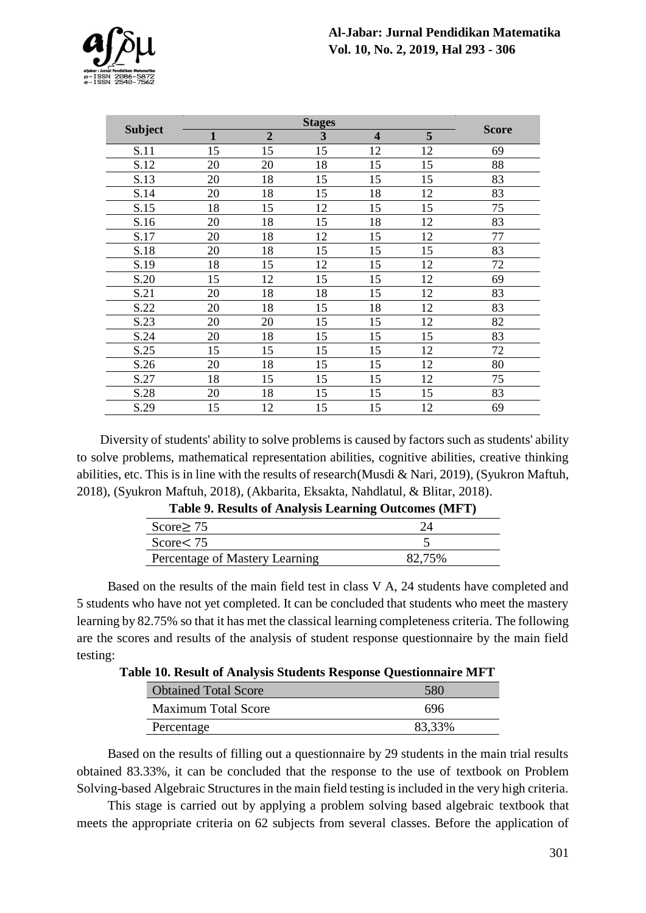

|                |              |                | <b>Stages</b> |                         |    | <b>Score</b> |
|----------------|--------------|----------------|---------------|-------------------------|----|--------------|
| <b>Subject</b> | $\mathbf{1}$ | $\overline{2}$ | 3             | $\overline{\mathbf{4}}$ | 5  |              |
| S.11           | 15           | 15             | 15            | 12                      | 12 | 69           |
| S.12           | 20           | 20             | 18            | 15                      | 15 | 88           |
| S.13           | 20           | 18             | 15            | 15                      | 15 | 83           |
| S.14           | 20           | 18             | 15            | 18                      | 12 | 83           |
| S.15           | 18           | 15             | 12            | 15                      | 15 | 75           |
| S.16           | 20           | 18             | 15            | 18                      | 12 | 83           |
| S.17           | 20           | 18             | 12            | 15                      | 12 | 77           |
| S.18           | 20           | 18             | 15            | 15                      | 15 | 83           |
| S.19           | 18           | 15             | 12            | 15                      | 12 | 72           |
| S.20           | 15           | 12             | 15            | 15                      | 12 | 69           |
| S.21           | 20           | 18             | 18            | 15                      | 12 | 83           |
| S.22           | 20           | 18             | 15            | 18                      | 12 | 83           |
| S.23           | 20           | 20             | 15            | 15                      | 12 | 82           |
| S.24           | 20           | 18             | 15            | 15                      | 15 | 83           |
| S.25           | 15           | 15             | 15            | 15                      | 12 | 72           |
| S.26           | 20           | 18             | 15            | 15                      | 12 | 80           |
| S.27           | 18           | 15             | 15            | 15                      | 12 | 75           |
| S.28           | 20           | 18             | 15            | 15                      | 15 | 83           |
| S.29           | 15           | 12             | 15            | 15                      | 12 | 69           |

Diversity of students' ability to solve problems is caused by factors such as students' ability to solve problems, mathematical representation abilities, cognitive abilities, creative thinking abilities, etc. This is in line with the results of research(Musdi & Nari, 2019), (Syukron Maftuh, 2018), (Syukron Maftuh, 2018), (Akbarita, Eksakta, Nahdlatul, & Blitar, 2018).

| Table 9. Results of Analysis Learning Outcomes (MFT) |        |  |  |  |
|------------------------------------------------------|--------|--|--|--|
| Score $\geq$ 75                                      | 24     |  |  |  |
| Score $< 75$                                         |        |  |  |  |
| Percentage of Mastery Learning                       | 82.75% |  |  |  |

**Table 9. Results of Analysis Learning Outcomes (MFT)**

Based on the results of the main field test in class V A, 24 students have completed and 5 students who have not yet completed. It can be concluded that students who meet the mastery learning by 82.75% so that it has met the classical learning completeness criteria. The following are the scores and results of the analysis of student response questionnaire by the main field testing:

**Table 10. Result of Analysis Students Response Questionnaire MFT**

| <b>Obtained Total Score</b> | 580    |
|-----------------------------|--------|
| <b>Maximum Total Score</b>  | 696    |
| Percentage                  | 83,33% |

Based on the results of filling out a questionnaire by 29 students in the main trial results obtained 83.33%, it can be concluded that the response to the use of textbook on Problem Solving-based Algebraic Structures in the main field testing is included in the very high criteria.

This stage is carried out by applying a problem solving based algebraic textbook that meets the appropriate criteria on 62 subjects from several classes. Before the application of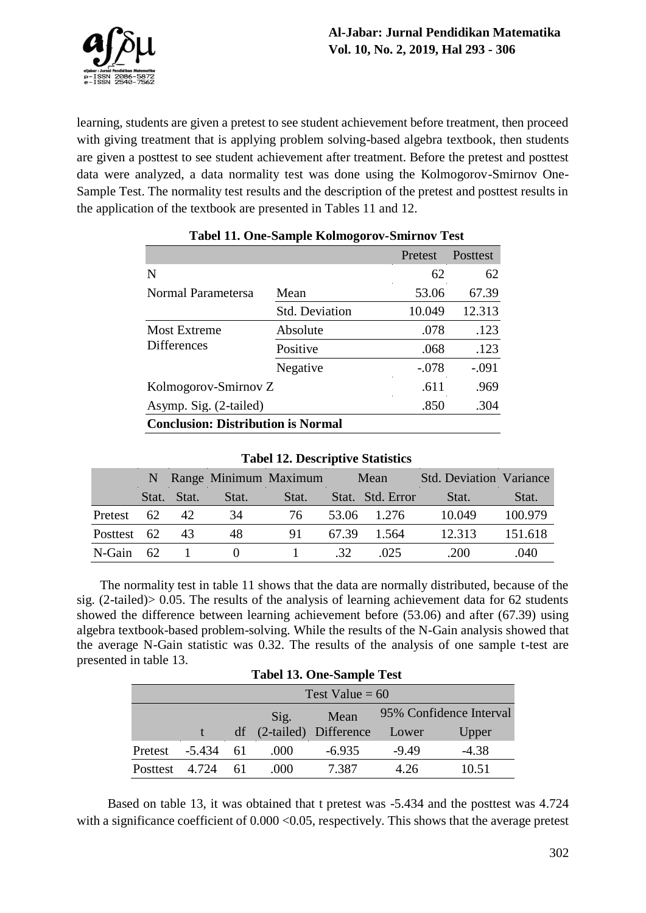

learning, students are given a pretest to see student achievement before treatment, then proceed with giving treatment that is applying problem solving-based algebra textbook, then students are given a posttest to see student achievement after treatment. Before the pretest and posttest data were analyzed, a data normality test was done using the Kolmogorov-Smirnov One-Sample Test. The normality test results and the description of the pretest and posttest results in the application of the textbook are presented in Tables 11 and 12.

|                                           |                       | Pretest | Posttest |
|-------------------------------------------|-----------------------|---------|----------|
| N                                         |                       | 62      | 62       |
| Normal Parametersa                        | Mean                  | 53.06   | 67.39    |
|                                           | <b>Std. Deviation</b> | 10.049  | 12.313   |
| <b>Most Extreme</b>                       | Absolute              | .078    | .123     |
| <b>Differences</b>                        | Positive              | .068    | .123     |
|                                           | Negative              | $-.078$ | $-.091$  |
| Kolmogorov-Smirnov Z                      |                       | .611    | .969     |
| Asymp. Sig. (2-tailed)                    |                       | .850    | .304     |
| <b>Conclusion: Distribution is Normal</b> |                       |         |          |

# **Tabel 11. One-Sample Kolmogorov-Smirnov Test**

| $14001$ $140001$ $10110$ |    |             |       |                       |       |                  |                                |         |
|--------------------------|----|-------------|-------|-----------------------|-------|------------------|--------------------------------|---------|
|                          |    |             |       | Range Minimum Maximum | Mean  |                  | <b>Std. Deviation Variance</b> |         |
|                          |    | Stat. Stat. | Stat. | Stat.                 |       | Stat. Std. Error | Stat.                          | Stat.   |
| Pretest                  | 62 | 42          | 34    | 76                    |       | 53.06 1.276      | 10.049                         | 100.979 |
| Posttest 62              |    | 43          | 48    | 91                    | 67.39 | 1.564            | 12.313                         | 151.618 |
| N-Gain                   | 62 |             |       |                       | .32   | .025             | .200                           | .040    |

### **Tabel 12. Descriptive Statistics**

The normality test in table 11 shows that the data are normally distributed, because of the sig. (2-tailed)> 0.05. The results of the analysis of learning achievement data for 62 students showed the difference between learning achievement before (53.06) and after (67.39) using algebra textbook-based problem-solving. While the results of the N-Gain analysis showed that the average N-Gain statistic was 0.32. The results of the analysis of one sample t-test are presented in table 13. **Tabel 13. One-Sample Test**

| Tabel 15. One-Sample Test |                   |     |                         |                          |                         |         |  |
|---------------------------|-------------------|-----|-------------------------|--------------------------|-------------------------|---------|--|
|                           | Test Value = $60$ |     |                         |                          |                         |         |  |
|                           |                   |     | Mean<br>$\mathrm{Sig.}$ |                          | 95% Confidence Interval |         |  |
|                           |                   |     |                         | df (2-tailed) Difference | Lower                   | Upper   |  |
| Pretest                   | -5.434            | -61 | .000                    | $-6.935$                 | $-9.49$                 | $-4.38$ |  |
| <b>Posttest</b>           | 4.724             | -61 | .000                    | 7.387                    | 4.26                    | 10.51   |  |

Based on table 13, it was obtained that t pretest was -5.434 and the posttest was 4.724 with a significance coefficient of  $0.000 \le 0.05$ , respectively. This shows that the average pretest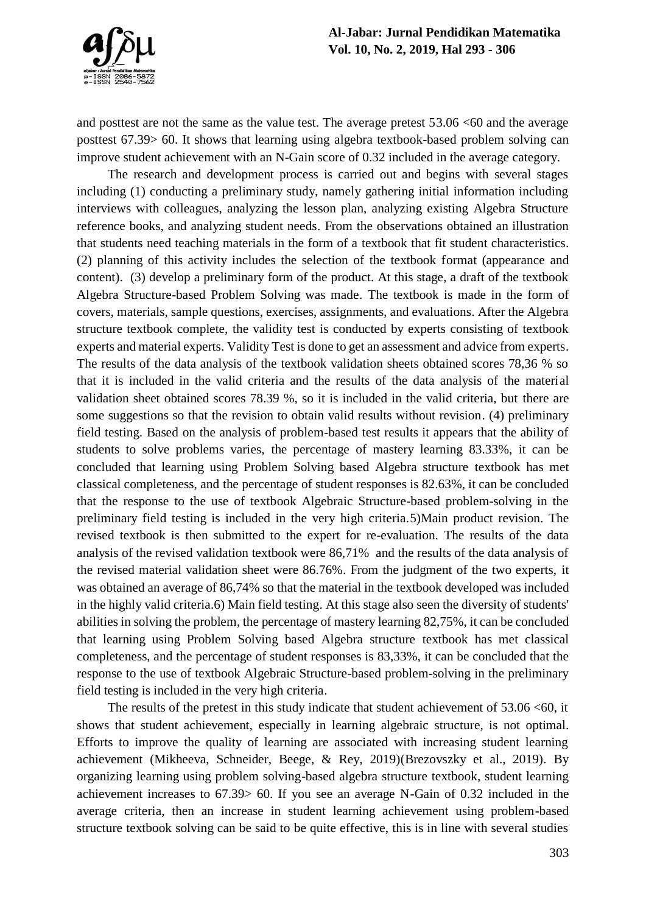

and posttest are not the same as the value test. The average pretest  $53.06 < 60$  and the average posttest 67.39> 60. It shows that learning using algebra textbook-based problem solving can improve student achievement with an N-Gain score of 0.32 included in the average category.

The research and development process is carried out and begins with several stages including (1) conducting a preliminary study, namely gathering initial information including interviews with colleagues, analyzing the lesson plan, analyzing existing Algebra Structure reference books, and analyzing student needs. From the observations obtained an illustration that students need teaching materials in the form of a textbook that fit student characteristics. (2) planning of this activity includes the selection of the textbook format (appearance and content). (3) develop a preliminary form of the product. At this stage, a draft of the textbook Algebra Structure-based Problem Solving was made. The textbook is made in the form of covers, materials, sample questions, exercises, assignments, and evaluations. After the Algebra structure textbook complete, the validity test is conducted by experts consisting of textbook experts and material experts. Validity Test is done to get an assessment and advice from experts. The results of the data analysis of the textbook validation sheets obtained scores 78,36 % so that it is included in the valid criteria and the results of the data analysis of the material validation sheet obtained scores 78.39 %, so it is included in the valid criteria, but there are some suggestions so that the revision to obtain valid results without revision. (4) preliminary field testing. Based on the analysis of problem-based test results it appears that the ability of students to solve problems varies, the percentage of mastery learning 83.33%, it can be concluded that learning using Problem Solving based Algebra structure textbook has met classical completeness, and the percentage of student responses is 82.63%, it can be concluded that the response to the use of textbook Algebraic Structure-based problem-solving in the preliminary field testing is included in the very high criteria.5)Main product revision. The revised textbook is then submitted to the expert for re-evaluation. The results of the data analysis of the revised validation textbook were 86,71% and the results of the data analysis of the revised material validation sheet were 86.76%. From the judgment of the two experts, it was obtained an average of 86,74% so that the material in the textbook developed was included in the highly valid criteria.6) Main field testing. At this stage also seen the diversity of students' abilities in solving the problem, the percentage of mastery learning 82,75%, it can be concluded that learning using Problem Solving based Algebra structure textbook has met classical completeness, and the percentage of student responses is 83,33%, it can be concluded that the response to the use of textbook Algebraic Structure-based problem-solving in the preliminary field testing is included in the very high criteria.

The results of the pretest in this study indicate that student achievement of  $53.06 < 60$ , it shows that student achievement, especially in learning algebraic structure, is not optimal. Efforts to improve the quality of learning are associated with increasing student learning achievement (Mikheeva, Schneider, Beege, & Rey, 2019)(Brezovszky et al., 2019). By organizing learning using problem solving-based algebra structure textbook, student learning achievement increases to 67.39> 60. If you see an average N-Gain of 0.32 included in the average criteria, then an increase in student learning achievement using problem-based structure textbook solving can be said to be quite effective, this is in line with several studies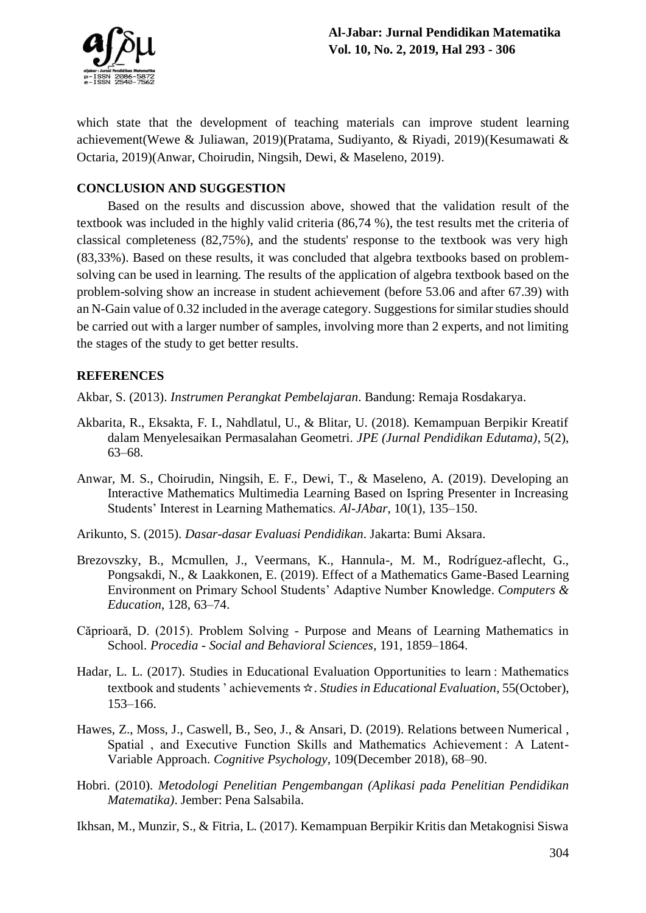

which state that the development of teaching materials can improve student learning achievement(Wewe & Juliawan, 2019)(Pratama, Sudiyanto, & Riyadi, 2019)(Kesumawati & Octaria, 2019)(Anwar, Choirudin, Ningsih, Dewi, & Maseleno, 2019).

### **CONCLUSION AND SUGGESTION**

Based on the results and discussion above, showed that the validation result of the textbook was included in the highly valid criteria (86,74 %), the test results met the criteria of classical completeness (82,75%), and the students' response to the textbook was very high (83,33%). Based on these results, it was concluded that algebra textbooks based on problemsolving can be used in learning. The results of the application of algebra textbook based on the problem-solving show an increase in student achievement (before 53.06 and after 67.39) with an N-Gain value of 0.32 included in the average category. Suggestions for similar studies should be carried out with a larger number of samples, involving more than 2 experts, and not limiting the stages of the study to get better results.

### **REFERENCES**

Akbar, S. (2013). *Instrumen Perangkat Pembelajaran*. Bandung: Remaja Rosdakarya.

- Akbarita, R., Eksakta, F. I., Nahdlatul, U., & Blitar, U. (2018). Kemampuan Berpikir Kreatif dalam Menyelesaikan Permasalahan Geometri. *JPE (Jurnal Pendidikan Edutama)*, 5(2), 63–68.
- Anwar, M. S., Choirudin, Ningsih, E. F., Dewi, T., & Maseleno, A. (2019). Developing an Interactive Mathematics Multimedia Learning Based on Ispring Presenter in Increasing Students' Interest in Learning Mathematics. *Al-JAbar*, 10(1), 135–150.
- Arikunto, S. (2015). *Dasar-dasar Evaluasi Pendidikan*. Jakarta: Bumi Aksara.
- Brezovszky, B., Mcmullen, J., Veermans, K., Hannula-, M. M., Rodríguez-aflecht, G., Pongsakdi, N., & Laakkonen, E. (2019). Effect of a Mathematics Game-Based Learning Environment on Primary School Students' Adaptive Number Knowledge. *Computers & Education*, 128, 63–74.
- Căprioară, D. (2015). Problem Solving Purpose and Means of Learning Mathematics in School. *Procedia - Social and Behavioral Sciences*, 191, 1859–1864.
- Hadar, L. L. (2017). Studies in Educational Evaluation Opportunities to learn : Mathematics textbook and students ' achievements ☆. *Studies in Educational Evaluation*, 55(October), 153–166.
- Hawes, Z., Moss, J., Caswell, B., Seo, J., & Ansari, D. (2019). Relations between Numerical , Spatial, and Executive Function Skills and Mathematics Achievement: A Latent-Variable Approach. *Cognitive Psychology*, 109(December 2018), 68–90.
- Hobri. (2010). *Metodologi Penelitian Pengembangan (Aplikasi pada Penelitian Pendidikan Matematika)*. Jember: Pena Salsabila.
- Ikhsan, M., Munzir, S., & Fitria, L. (2017). Kemampuan Berpikir Kritis dan Metakognisi Siswa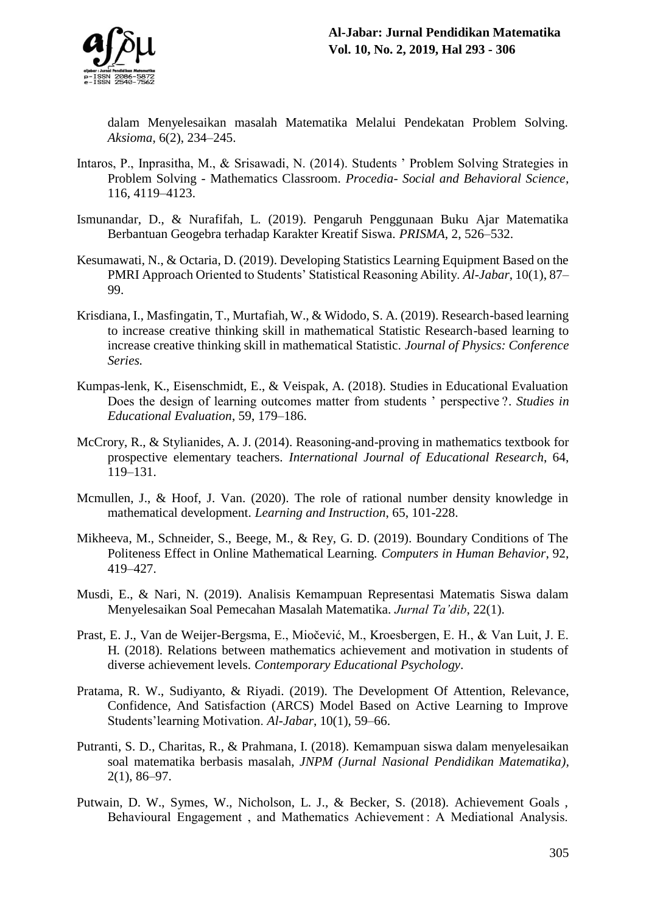

dalam Menyelesaikan masalah Matematika Melalui Pendekatan Problem Solving. *Aksioma*, 6(2), 234–245.

- Intaros, P., Inprasitha, M., & Srisawadi, N. (2014). Students ' Problem Solving Strategies in Problem Solving - Mathematics Classroom. *Procedia- Social and Behavioral Science,*  116, 4119–4123.
- Ismunandar, D., & Nurafifah, L. (2019). Pengaruh Penggunaan Buku Ajar Matematika Berbantuan Geogebra terhadap Karakter Kreatif Siswa. *PRISMA*, 2, 526–532.
- Kesumawati, N., & Octaria, D. (2019). Developing Statistics Learning Equipment Based on the PMRI Approach Oriented to Students' Statistical Reasoning Ability. *Al-Jabar*, 10(1), 87– 99.
- Krisdiana, I., Masfingatin, T., Murtafiah, W., & Widodo, S. A. (2019). Research-based learning to increase creative thinking skill in mathematical Statistic Research-based learning to increase creative thinking skill in mathematical Statistic. *Journal of Physics: Conference Series.*
- Kumpas-lenk, K., Eisenschmidt, E., & Veispak, A. (2018). Studies in Educational Evaluation Does the design of learning outcomes matter from students ' perspective ?. *Studies in Educational Evaluation*, 59, 179–186.
- McCrory, R., & Stylianides, A. J. (2014). Reasoning-and-proving in mathematics textbook for prospective elementary teachers. *International Journal of Educational Research*, 64, 119–131.
- Mcmullen, J., & Hoof, J. Van. (2020). The role of rational number density knowledge in mathematical development. *Learning and Instruction*, 65, 101-228.
- Mikheeva, M., Schneider, S., Beege, M., & Rey, G. D. (2019). Boundary Conditions of The Politeness Effect in Online Mathematical Learning. *Computers in Human Behavior*, 92, 419–427.
- Musdi, E., & Nari, N. (2019). Analisis Kemampuan Representasi Matematis Siswa dalam Menyelesaikan Soal Pemecahan Masalah Matematika. *Jurnal Ta'dib*, 22(1).
- Prast, E. J., Van de Weijer-Bergsma, E., Miočević, M., Kroesbergen, E. H., & Van Luit, J. E. H. (2018). Relations between mathematics achievement and motivation in students of diverse achievement levels. *Contemporary Educational Psychology.*
- Pratama, R. W., Sudiyanto, & Riyadi. (2019). The Development Of Attention, Relevance, Confidence, And Satisfaction (ARCS) Model Based on Active Learning to Improve Students'learning Motivation. *Al-Jabar*, 10(1), 59–66.
- Putranti, S. D., Charitas, R., & Prahmana, I. (2018). Kemampuan siswa dalam menyelesaikan soal matematika berbasis masalah, *JNPM (Jurnal Nasional Pendidikan Matematika),* 2(1), 86–97.
- Putwain, D. W., Symes, W., Nicholson, L. J., & Becker, S. (2018). Achievement Goals , Behavioural Engagement, and Mathematics Achievement: A Mediational Analysis.